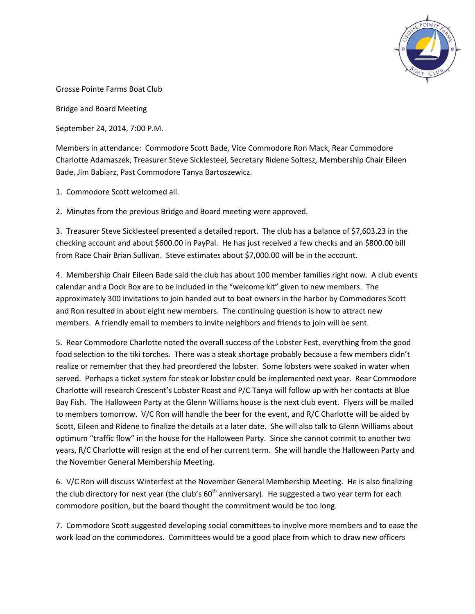

Grosse Pointe Farms Boat Club

Bridge and Board Meeting

September 24, 2014, 7:00 P.M.

Members in attendance: Commodore Scott Bade, Vice Commodore Ron Mack, Rear Commodore Charlotte Adamaszek, Treasurer Steve Sicklesteel, Secretary Ridene Soltesz, Membership Chair Eileen Bade, Jim Babiarz, Past Commodore Tanya Bartoszewicz.

1. Commodore Scott welcomed all.

2. Minutes from the previous Bridge and Board meeting were approved.

3. Treasurer Steve Sicklesteel presented a detailed report. The club has a balance of \$7,603.23 in the checking account and about \$600.00 in PayPal. He has just received a few checks and an \$800.00 bill from Race Chair Brian Sullivan. Steve estimates about \$7,000.00 will be in the account.

4. Membership Chair Eileen Bade said the club has about 100 member families right now. A club events calendar and a Dock Box are to be included in the "welcome kit" given to new members. The approximately 300 invitations to join handed out to boat owners in the harbor by Commodores Scott and Ron resulted in about eight new members. The continuing question is how to attract new members. A friendly email to members to invite neighbors and friends to join will be sent.

5. Rear Commodore Charlotte noted the overall success of the Lobster Fest, everything from the good food selection to the tiki torches. There was a steak shortage probably because a few members didn't realize or remember that they had preordered the lobster. Some lobsters were soaked in water when served. Perhaps a ticket system for steak or lobster could be implemented next year. Rear Commodore Charlotte will research Crescent's Lobster Roast and P/C Tanya will follow up with her contacts at Blue Bay Fish. The Halloween Party at the Glenn Williams house is the next club event. Flyers will be mailed to members tomorrow. V/C Ron will handle the beer for the event, and R/C Charlotte will be aided by Scott, Eileen and Ridene to finalize the details at a later date. She will also talk to Glenn Williams about optimum "traffic flow" in the house for the Halloween Party. Since she cannot commit to another two years, R/C Charlotte will resign at the end of her current term. She will handle the Halloween Party and the November General Membership Meeting.

6. V/C Ron will discuss Winterfest at the November General Membership Meeting. He is also finalizing the club directory for next year (the club's  $60<sup>th</sup>$  anniversary). He suggested a two year term for each commodore position, but the board thought the commitment would be too long.

7. Commodore Scott suggested developing social committees to involve more members and to ease the work load on the commodores. Committees would be a good place from which to draw new officers